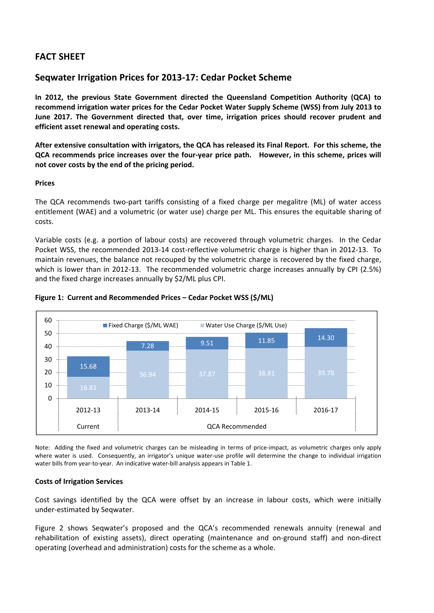# **FACT SHEET**

## **Seqwater Irrigation Prices for 2013‐17: Cedar Pocket Scheme**

**In 2012, the previous State Government directed the Queensland Competition Authority (QCA) to recommend irrigation water prices for the Cedar Pocket Water Supply Scheme (WSS) from July 2013 to June 2017. The Government directed that, over time, irrigation prices should recover prudent and efficient asset renewal and operating costs.** 

After extensive consultation with irrigators, the QCA has released its Final Report. For this scheme, the QCA recommends price increases over the four-year price path. However, in this scheme, prices will **not cover costs by the end of the pricing period.**

## **Prices**

The QCA recommends two-part tariffs consisting of a fixed charge per megalitre (ML) of water access entitlement (WAE) and a volumetric (or water use) charge per ML. This ensures the equitable sharing of costs.

Variable costs (e.g. a portion of labour costs) are recovered through volumetric charges. In the Cedar Pocket WSS, the recommended 2013-14 cost-reflective volumetric charge is higher than in 2012-13. To maintain revenues, the balance not recouped by the volumetric charge is recovered by the fixed charge, which is lower than in 2012-13. The recommended volumetric charge increases annually by CPI (2.5%) and the fixed charge increases annually by \$2/ML plus CPI.



### **Figure 1: Current and Recommended Prices – Cedar Pocket WSS (\$/ML)**

Note: Adding the fixed and volumetric charges can be misleading in terms of price‐impact, as volumetric charges only apply where water is used. Consequently, an irrigator's unique water-use profile will determine the change to individual irrigation water bills from year-to-year. An indicative water-bill analysis appears in Table 1.

### **Costs of Irrigation Services**

Cost savings identified by the QCA were offset by an increase in labour costs, which were initially under‐estimated by Seqwater.

Figure 2 shows Seqwater's proposed and the QCA's recommended renewals annuity (renewal and rehabilitation of existing assets), direct operating (maintenance and on-ground staff) and non-direct operating (overhead and administration) costs for the scheme as a whole.